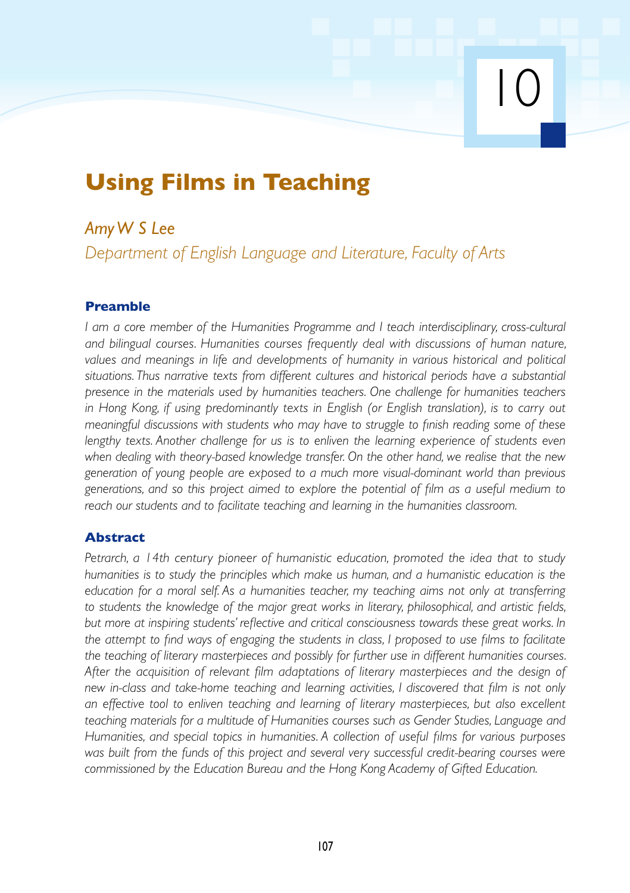# **Using Films in Teaching**

# *Amy W S Lee*

*Department of English Language and Literature, Faculty of Arts*

10

# **Preamble**

*I am a core member of the Humanities Programme and I teach interdisciplinary, cross-cultural and bilingual courses. Humanities courses frequently deal with discussions of human nature, values and meanings in life and developments of humanity in various historical and political situations. Thus narrative texts from different cultures and historical periods have a substantial presence in the materials used by humanities teachers. One challenge for humanities teachers in Hong Kong, if using predominantly texts in English (or English translation), is to carry out meaningful discussions with students who may have to struggle to finish reading some of these lengthy texts. Another challenge for us is to enliven the learning experience of students even when dealing with theory-based knowledge transfer. On the other hand, we realise that the new generation of young people are exposed to a much more visual-dominant world than previous generations, and so this project aimed to explore the potential of film as a useful medium to reach our students and to facilitate teaching and learning in the humanities classroom.*

# **Abstract**

*Petrarch, a 14th century pioneer of humanistic education, promoted the idea that to study humanities is to study the principles which make us human, and a humanistic education is the education for a moral self. As a humanities teacher, my teaching aims not only at transferring to students the knowledge of the major great works in literary, philosophical, and artistic fields, but more at inspiring students' reflective and critical consciousness towards these great works. In the attempt to find ways of engaging the students in class, I proposed to use films to facilitate the teaching of literary masterpieces and possibly for further use in different humanities courses. After the acquisition of relevant film adaptations of literary masterpieces and the design of new in-class and take-home teaching and learning activities, I discovered that film is not only an effective tool to enliven teaching and learning of literary masterpieces, but also excellent teaching materials for a multitude of Humanities courses such as Gender Studies, Language and Humanities, and special topics in humanities. A collection of useful films for various purposes was built from the funds of this project and several very successful credit-bearing courses were commissioned by the Education Bureau and the Hong Kong Academy of Gifted Education.*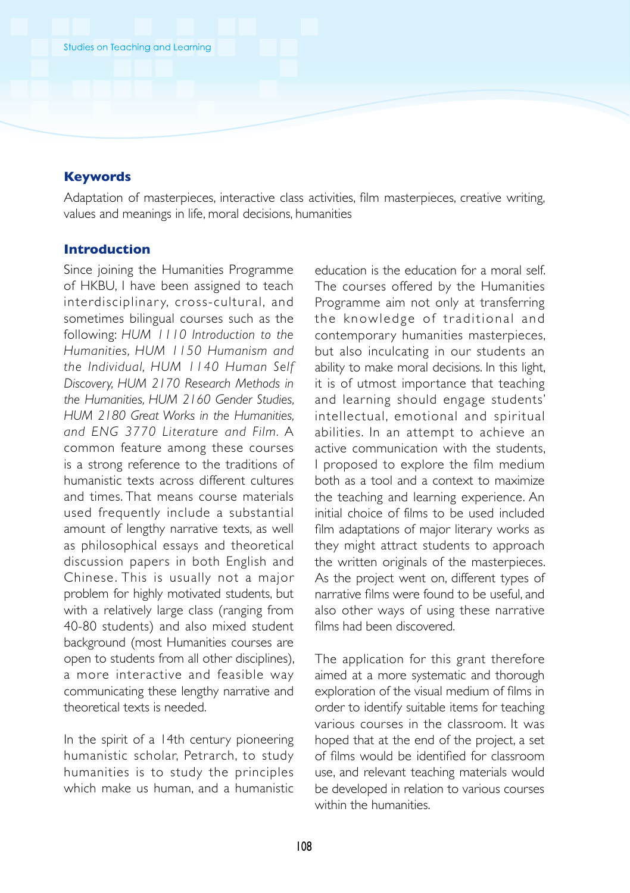### **Keywords**

Adaptation of masterpieces, interactive class activities, film masterpieces, creative writing, values and meanings in life, moral decisions, humanities

#### **Introduction**

Since joining the Humanities Programme of HKBU, I have been assigned to teach interdisciplinary, cross-cultural, and sometimes bilingual courses such as the following: *HUM 1110 Introduction to the Humanities, HUM 1150 Humanism and the Individual, HUM 1140 Human Self Discovery, HUM 2170 Research Methods in the Humanities, HUM 2160 Gender Studies, HUM 2180 Great Works in the Humanities, and ENG 3770 Literature and Film.* A common feature among these courses is a strong reference to the traditions of humanistic texts across different cultures and times. That means course materials used frequently include a substantial amount of lengthy narrative texts, as well as philosophical essays and theoretical discussion papers in both English and Chinese. This is usually not a major problem for highly motivated students, but with a relatively large class (ranging from 40-80 students) and also mixed student background (most Humanities courses are open to students from all other disciplines), a more interactive and feasible way communicating these lengthy narrative and theoretical texts is needed.

In the spirit of a 14th century pioneering humanistic scholar, Petrarch, to study humanities is to study the principles which make us human, and a humanistic

education is the education for a moral self. The courses offered by the Humanities Programme aim not only at transferring the knowledge of traditional and contemporary humanities masterpieces, but also inculcating in our students an ability to make moral decisions. In this light, it is of utmost importance that teaching and learning should engage students' intellectual, emotional and spiritual abilities. In an attempt to achieve an active communication with the students, I proposed to explore the film medium both as a tool and a context to maximize the teaching and learning experience. An initial choice of films to be used included film adaptations of major literary works as they might attract students to approach the written originals of the masterpieces. As the project went on, different types of narrative films were found to be useful, and also other ways of using these narrative films had been discovered.

The application for this grant therefore aimed at a more systematic and thorough exploration of the visual medium of films in order to identify suitable items for teaching various courses in the classroom. It was hoped that at the end of the project, a set of films would be identified for classroom use, and relevant teaching materials would be developed in relation to various courses within the humanities.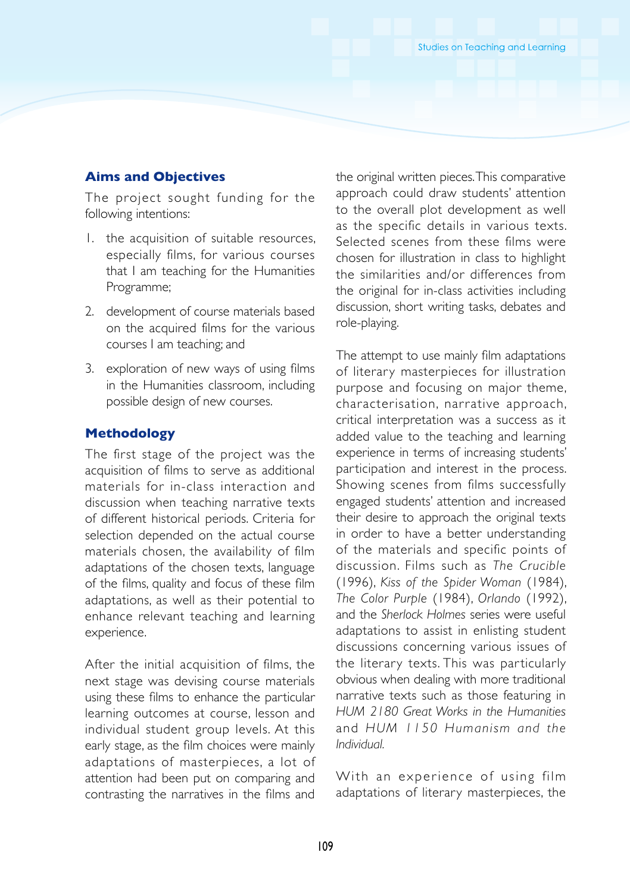#### **Aims and Objectives**

The project sought funding for the following intentions:

- 1. the acquisition of suitable resources, especially films, for various courses that I am teaching for the Humanities Programme;
- 2. development of course materials based on the acquired films for the various courses I am teaching; and
- 3. exploration of new ways of using films in the Humanities classroom, including possible design of new courses.

#### **Methodology**

The first stage of the project was the acquisition of films to serve as additional materials for in-class interaction and discussion when teaching narrative texts of different historical periods. Criteria for selection depended on the actual course materials chosen, the availability of film adaptations of the chosen texts, language of the films, quality and focus of these film adaptations, as well as their potential to enhance relevant teaching and learning experience.

After the initial acquisition of films, the next stage was devising course materials using these films to enhance the particular learning outcomes at course, lesson and individual student group levels. At this early stage, as the film choices were mainly adaptations of masterpieces, a lot of attention had been put on comparing and contrasting the narratives in the films and

the original written pieces. This comparative approach could draw students' attention to the overall plot development as well as the specific details in various texts. Selected scenes from these films were chosen for illustration in class to highlight the similarities and/or differences from the original for in-class activities including discussion, short writing tasks, debates and role-playing.

The attempt to use mainly film adaptations of literary masterpieces for illustration purpose and focusing on major theme, characterisation, narrative approach, critical interpretation was a success as it added value to the teaching and learning experience in terms of increasing students' participation and interest in the process. Showing scenes from films successfully engaged students' attention and increased their desire to approach the original texts in order to have a better understanding of the materials and specific points of discussion. Films such as *The Crucible* (1996), *Kiss of the Spider Woman* (1984), *The Color Purple* (1984), *Orlando* (1992), and the *Sherlock Holmes* series were useful adaptations to assist in enlisting student discussions concerning various issues of the literary texts. This was particularly obvious when dealing with more traditional narrative texts such as those featuring in *HUM 2180 Great Works in the Humanities* and *HUM* 1150 *Humanism and the Individual.*

With an experience of using film adaptations of literary masterpieces, the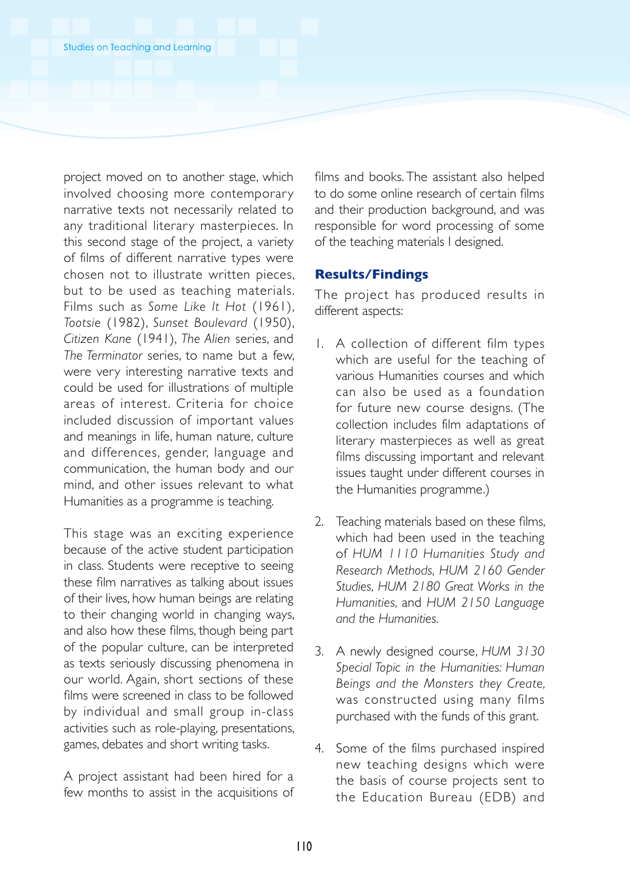project moved on to another stage, which involved choosing more contemporary narrative texts not necessarily related to any traditional literary masterpieces. In this second stage of the project, a variety of films of different narrative types were chosen not to illustrate written pieces, but to be used as teaching materials. Films such as *Some Like It Hot* (1961), *Tootsie* (1982), *Sunset Boulevard* (1950), *Citizen Kane* (1941), *The Alien* series, and *The Terminator* series, to name but a few, were very interesting narrative texts and could be used for illustrations of multiple areas of interest. Criteria for choice included discussion of important values and meanings in life, human nature, culture and differences, gender, language and communication, the human body and our mind, and other issues relevant to what Humanities as a programme is teaching.

This stage was an exciting experience because of the active student participation in class. Students were receptive to seeing these film narratives as talking about issues of their lives, how human beings are relating to their changing world in changing ways, and also how these films, though being part of the popular culture, can be interpreted as texts seriously discussing phenomena in our world. Again, short sections of these films were screened in class to be followed by individual and small group in-class activities such as role-playing, presentations, games, debates and short writing tasks.

A project assistant had been hired for a few months to assist in the acquisitions of films and books. The assistant also helped to do some online research of certain films and their production background, and was responsible for word processing of some of the teaching materials I designed.

#### **Results/Findings**

The project has produced results in different aspects:

- 1. A collection of different film types which are useful for the teaching of various Humanities courses and which can also be used as a foundation for future new course designs. (The collection includes film adaptations of literary masterpieces as well as great films discussing important and relevant issues taught under different courses in the Humanities programme.)
- 2. Teaching materials based on these films, which had been used in the teaching of *HUM 1110 Humanities Study and Research Methods, HUM 2160 Gender Studies, HUM 2180 Great Works in the Humanities,* and *HUM 2150 Language and the Humanities.*
- 3. A newly designed course, *HUM 3130 Special Topic in the Humanities: Human Beings and the Monsters they Create,* was constructed using many films purchased with the funds of this grant.
- 4. Some of the films purchased inspired new teaching designs which were the basis of course projects sent to the Education Bureau (EDB) and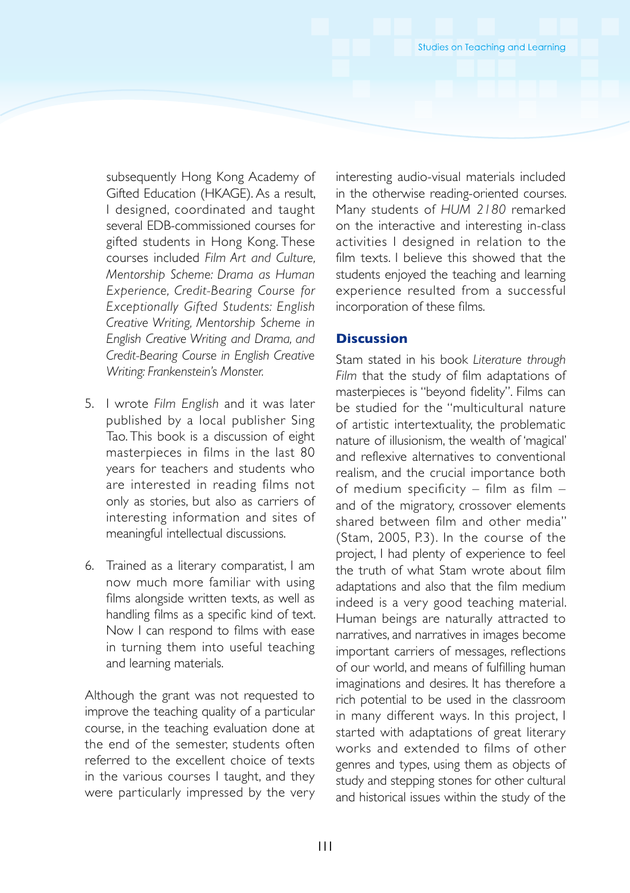subsequently Hong Kong Academy of Gifted Education (HKAGE). As a result, I designed, coordinated and taught several EDB-commissioned courses for gifted students in Hong Kong. These courses included *Film Art and Culture, Mentorship Scheme: Drama as Human Experience, Credit-Bearing Course for Exceptionally Gifted Students: English Creative Writing, Mentorship Scheme in English Creative Writing and Drama, and Credit-Bearing Course in English Creative Writing: Frankenstein's Monster.*

- 5. I wrote *Film English* and it was later published by a local publisher Sing Tao. This book is a discussion of eight masterpieces in films in the last 80 years for teachers and students who are interested in reading films not only as stories, but also as carriers of interesting information and sites of meaningful intellectual discussions.
- 6. Trained as a literary comparatist, I am now much more familiar with using films alongside written texts, as well as handling films as a specific kind of text. Now I can respond to films with ease in turning them into useful teaching and learning materials.

Although the grant was not requested to improve the teaching quality of a particular course, in the teaching evaluation done at the end of the semester, students often referred to the excellent choice of texts in the various courses I taught, and they were particularly impressed by the very

interesting audio-visual materials included in the otherwise reading-oriented courses. Many students of *HUM 2180* remarked on the interactive and interesting in-class activities I designed in relation to the film texts. I believe this showed that the students enjoyed the teaching and learning experience resulted from a successful incorporation of these films.

#### **Discussion**

Stam stated in his book *Literature through Film* that the study of film adaptations of masterpieces is "beyond fidelity". Films can be studied for the "multicultural nature of artistic intertextuality, the problematic nature of illusionism, the wealth of 'magical' and reflexive alternatives to conventional realism, and the crucial importance both of medium specificity – film as film – and of the migratory, crossover elements shared between film and other media" (Stam, 2005, P.3). In the course of the project, I had plenty of experience to feel the truth of what Stam wrote about film adaptations and also that the film medium indeed is a very good teaching material. Human beings are naturally attracted to narratives, and narratives in images become important carriers of messages, reflections of our world, and means of fulfilling human imaginations and desires. It has therefore a rich potential to be used in the classroom in many different ways. In this project, I started with adaptations of great literary works and extended to films of other genres and types, using them as objects of study and stepping stones for other cultural and historical issues within the study of the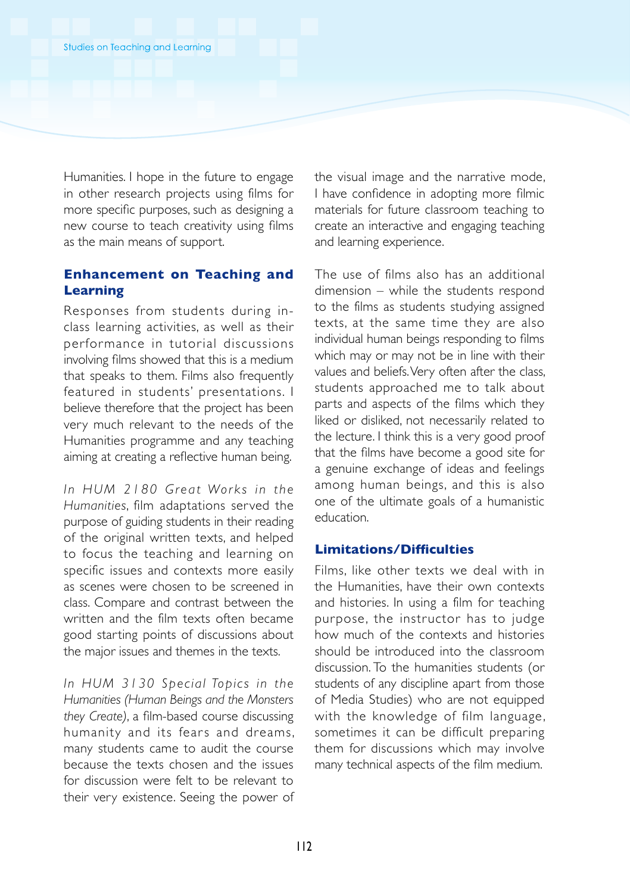Humanities. I hope in the future to engage in other research projects using films for more specific purposes, such as designing a new course to teach creativity using films as the main means of support.

## **Enhancement on Teaching and Learning**

Responses from students during inclass learning activities, as well as their performance in tutorial discussions involving films showed that this is a medium that speaks to them. Films also frequently featured in students' presentations. I believe therefore that the project has been very much relevant to the needs of the Humanities programme and any teaching aiming at creating a reflective human being.

*In HUM 2180 Great Works in the Humanities*, film adaptations served the purpose of guiding students in their reading of the original written texts, and helped to focus the teaching and learning on specific issues and contexts more easily as scenes were chosen to be screened in class. Compare and contrast between the written and the film texts often became good starting points of discussions about the major issues and themes in the texts.

*In HUM 3 1 3 0 S pe c ia l To p i c s in the Humanities (Human Beings and the Monsters they Create)*, a film-based course discussing humanity and its fears and dreams, many students came to audit the course because the texts chosen and the issues for discussion were felt to be relevant to their very existence. Seeing the power of the visual image and the narrative mode, I have confidence in adopting more filmic materials for future classroom teaching to create an interactive and engaging teaching and learning experience.

The use of films also has an additional dimension – while the students respond to the films as students studying assigned texts, at the same time they are also individual human beings responding to films which may or may not be in line with their values and beliefs. Very often after the class, students approached me to talk about parts and aspects of the films which they liked or disliked, not necessarily related to the lecture. I think this is a very good proof that the films have become a good site for a genuine exchange of ideas and feelings among human beings, and this is also one of the ultimate goals of a humanistic education.

#### **Limitations/Difficulties**

Films, like other texts we deal with in the Humanities, have their own contexts and histories. In using a film for teaching purpose, the instructor has to judge how much of the contexts and histories should be introduced into the classroom discussion. To the humanities students (or students of any discipline apart from those of Media Studies) who are not equipped with the knowledge of film language, sometimes it can be difficult preparing them for discussions which may involve many technical aspects of the film medium.